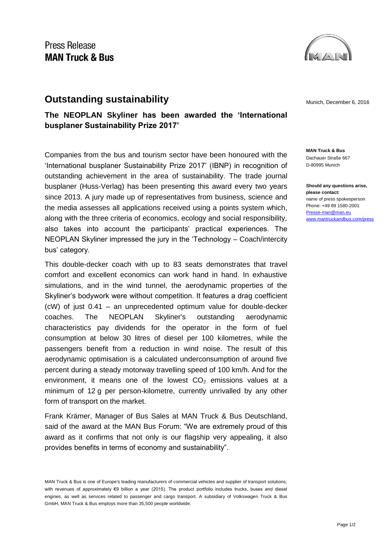

## **Outstanding sustainability** and the municipal munich, December 6, 2016

**The NEOPLAN Skyliner has been awarded the 'International busplaner Sustainability Prize 2017'** 

Companies from the bus and tourism sector have been honoured with the 'International busplaner Sustainability Prize 2017' (IBNP) in recognition of outstanding achievement in the area of sustainability. The trade journal busplaner (Huss-Verlag) has been presenting this award every two years since 2013. A jury made up of representatives from business, science and the media assesses all applications received using a points system which, along with the three criteria of economics, ecology and social responsibility, also takes into account the participants' practical experiences. The NEOPLAN Skyliner impressed the jury in the 'Technology – Coach/intercity bus' category.

This double-decker coach with up to 83 seats demonstrates that travel comfort and excellent economics can work hand in hand. In exhaustive simulations, and in the wind tunnel, the aerodynamic properties of the Skyliner's bodywork were without competition. It features a drag coefficient (cW) of just 0.41 – an unprecedented optimum value for double-decker coaches. The NEOPLAN Skyliner's outstanding aerodynamic characteristics pay dividends for the operator in the form of fuel consumption at below 30 litres of diesel per 100 kilometres, while the passengers benefit from a reduction in wind noise. The result of this aerodynamic optimisation is a calculated underconsumption of around five percent during a steady motorway travelling speed of 100 km/h. And for the environment, it means one of the lowest  $CO<sub>2</sub>$  emissions values at a minimum of 12 g per person-kilometre, currently unrivalled by any other form of transport on the market.

Frank Krämer, Manager of Bus Sales at MAN Truck & Bus Deutschland, said of the award at the MAN Bus Forum: "We are extremely proud of this award as it confirms that not only is our flagship very appealing, it also provides benefits in terms of economy and sustainability".

**MAN Truck & Bus** Dachauer Straße 667 D-80995 Munich

**Should any questions arise, please contact:** name of press spokesperson Phone: +49 89 1580-2001 [Presse-man@man.eu](mailto:Presse-man@man.eu) [www.mantruckandbus.com/press](http://www.mantruckandbus.com/press)

MAN Truck & Bus is one of Europe's leading manufacturers of commercial vehicles and supplier of transport solutions, with revenues of approximately €9 billion a year (2015). The product portfolio includes trucks, buses and diesel engines, as well as services related to passenger and cargo transport. A subsidiary of Volkswagen Truck & Bus GmbH, MAN Truck & Bus employs more than 35,500 people worldwide.